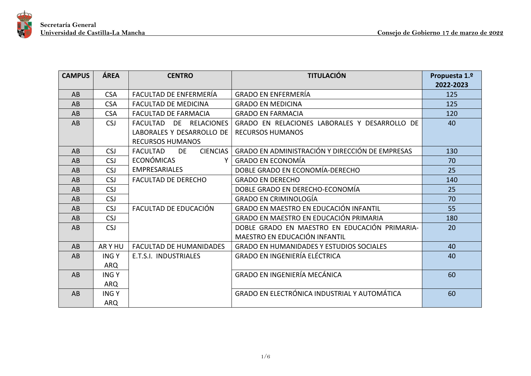

| <b>CAMPUS</b> | ÁREA        | <b>CENTRO</b>                     | <b>TITULACIÓN</b>                               | Propuesta 1.º |
|---------------|-------------|-----------------------------------|-------------------------------------------------|---------------|
|               |             |                                   |                                                 | 2022-2023     |
| AB            | <b>CSA</b>  | FACULTAD DE ENFERMERÍA            | <b>GRADO EN ENFERMERÍA</b>                      | 125           |
| AB            | <b>CSA</b>  | <b>FACULTAD DE MEDICINA</b>       | <b>GRADO EN MEDICINA</b>                        | 125           |
| AB            | <b>CSA</b>  | <b>FACULTAD DE FARMACIA</b>       | <b>GRADO EN FARMACIA</b>                        | 120           |
| AB            | <b>CSJ</b>  | <b>FACULTAD</b><br>DE RELACIONES  | GRADO EN RELACIONES LABORALES Y DESARROLLO DE   | 40            |
|               |             | LABORALES Y DESARROLLO DE         | <b>RECURSOS HUMANOS</b>                         |               |
|               |             | <b>RECURSOS HUMANOS</b>           |                                                 |               |
| AB            | <b>CSJ</b>  | CIENCIAS<br><b>FACULTAD</b><br>DE | GRADO EN ADMINISTRACIÓN Y DIRECCIÓN DE EMPRESAS | 130           |
| AB            | <b>CSJ</b>  | <b>ECONÓMICAS</b>                 | <b>GRADO EN ECONOMÍA</b>                        | 70            |
| AB            | <b>CSJ</b>  | <b>EMPRESARIALES</b>              | DOBLE GRADO EN ECONOMÍA-DERECHO                 | 25            |
| AB            | <b>CSJ</b>  | <b>FACULTAD DE DERECHO</b>        | <b>GRADO EN DERECHO</b>                         | 140           |
| AB            | <b>CSJ</b>  |                                   | DOBLE GRADO EN DERECHO-ECONOMÍA                 | 25            |
| AB            | <b>CSJ</b>  |                                   | <b>GRADO EN CRIMINOLOGÍA</b>                    | 70            |
| AB            | <b>CSJ</b>  | FACULTAD DE EDUCACIÓN             | GRADO EN MAESTRO EN EDUCACIÓN INFANTIL          | 55            |
| AB            | <b>CSJ</b>  |                                   | GRADO EN MAESTRO EN EDUCACIÓN PRIMARIA          | 180           |
| AB            | <b>CSJ</b>  |                                   | DOBLE GRADO EN MAESTRO EN EDUCACIÓN PRIMARIA-   | 20            |
|               |             |                                   | MAESTRO EN EDUCACIÓN INFANTIL                   |               |
| AB            | ARY HU      | <b>FACULTAD DE HUMANIDADES</b>    | <b>GRADO EN HUMANIDADES Y ESTUDIOS SOCIALES</b> | 40            |
| AB            | <b>INGY</b> | E.T.S.I. INDUSTRIALES             | <b>GRADO EN INGENIERÍA ELÉCTRICA</b>            | 40            |
|               | ARQ         |                                   |                                                 |               |
| AB            | <b>INGY</b> |                                   | GRADO EN INGENIERÍA MECÁNICA                    | 60            |
|               | <b>ARQ</b>  |                                   |                                                 |               |
| AB            | <b>INGY</b> |                                   | GRADO EN ELECTRÓNICA INDUSTRIAL Y AUTOMÁTICA    | 60            |
|               | <b>ARQ</b>  |                                   |                                                 |               |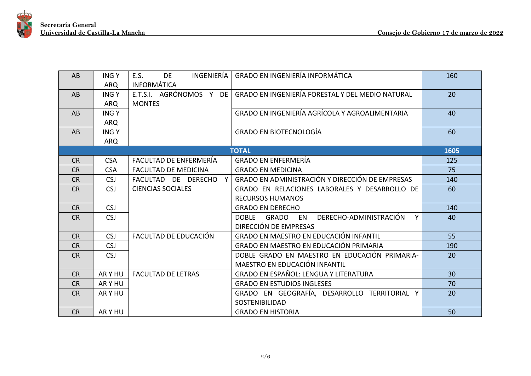

| AB        | <b>INGY</b><br><b>ARQ</b> | INGENIERÍA<br>E.S.<br><b>DE</b><br><b>INFORMÁTICA</b> | <b>GRADO EN INGENIERÍA INFORMÁTICA</b>           | 160  |
|-----------|---------------------------|-------------------------------------------------------|--------------------------------------------------|------|
| AB        | <b>INGY</b>               | E.T.S.I. AGRÓNOMOS Y DE                               | GRADO EN INGENIERÍA FORESTAL Y DEL MEDIO NATURAL | 20   |
|           | ARQ                       | <b>MONTES</b>                                         |                                                  |      |
| AB        | <b>INGY</b>               |                                                       | GRADO EN INGENIERÍA AGRÍCOLA Y AGROALIMENTARIA   | 40   |
|           | <b>ARQ</b>                |                                                       |                                                  |      |
| AB.       | <b>INGY</b>               |                                                       | <b>GRADO EN BIOTECNOLOGÍA</b>                    | 60   |
|           | <b>ARQ</b>                |                                                       |                                                  |      |
|           |                           |                                                       | <b>TOTAL</b>                                     | 1605 |
| <b>CR</b> | <b>CSA</b>                | FACULTAD DE ENFERMERÍA                                | <b>GRADO EN ENFERMERÍA</b>                       | 125  |
| <b>CR</b> | <b>CSA</b>                | <b>FACULTAD DE MEDICINA</b>                           | <b>GRADO EN MEDICINA</b>                         | 75   |
| <b>CR</b> | <b>CSJ</b>                | FACULTAD DE DERECHO Y                                 | GRADO EN ADMINISTRACIÓN Y DIRECCIÓN DE EMPRESAS  | 140  |
| <b>CR</b> | <b>CSJ</b>                | <b>CIENCIAS SOCIALES</b>                              | GRADO EN RELACIONES LABORALES Y DESARROLLO DE    | 60   |
|           |                           |                                                       | <b>RECURSOS HUMANOS</b>                          |      |
| <b>CR</b> | <b>CSJ</b>                |                                                       | <b>GRADO EN DERECHO</b>                          | 140  |
| <b>CR</b> | <b>CSJ</b>                |                                                       | DOBLE GRADO EN DERECHO-ADMINISTRACIÓN<br>Y       | 40   |
|           |                           |                                                       | DIRECCIÓN DE EMPRESAS                            |      |
| <b>CR</b> | <b>CSJ</b>                | FACULTAD DE EDUCACIÓN                                 | <b>GRADO EN MAESTRO EN EDUCACIÓN INFANTIL</b>    | 55   |
| <b>CR</b> | <b>CSJ</b>                |                                                       | GRADO EN MAESTRO EN EDUCACIÓN PRIMARIA           | 190  |
| <b>CR</b> | <b>CSJ</b>                |                                                       | DOBLE GRADO EN MAESTRO EN EDUCACIÓN PRIMARIA-    | 20   |
|           |                           |                                                       | MAESTRO EN EDUCACIÓN INFANTIL                    |      |
| <b>CR</b> | AR Y HU                   | <b>FACULTAD DE LETRAS</b>                             | <b>GRADO EN ESPAÑOL: LENGUA Y LITERATURA</b>     | 30   |
| <b>CR</b> | AR Y HU                   |                                                       | <b>GRADO EN ESTUDIOS INGLESES</b>                | 70   |
| <b>CR</b> | AR Y HU                   |                                                       | GRADO EN GEOGRAFÍA, DESARROLLO TERRITORIAL Y     | 20   |
|           |                           |                                                       | <b>SOSTENIBILIDAD</b>                            |      |
| <b>CR</b> | AR Y HU                   |                                                       | <b>GRADO EN HISTORIA</b>                         | 50   |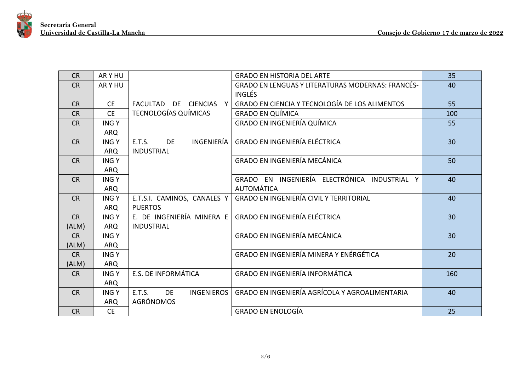

| <b>CR</b> | AR Y HU     |                                          | <b>GRADO EN HISTORIA DEL ARTE</b>                        | 35  |
|-----------|-------------|------------------------------------------|----------------------------------------------------------|-----|
| <b>CR</b> | AR Y HU     |                                          | <b>GRADO EN LENGUAS Y LITERATURAS MODERNAS: FRANCÉS-</b> | 40  |
|           |             |                                          | <b>INGLÉS</b>                                            |     |
| <b>CR</b> | <b>CE</b>   | FACULTAD DE CIENCIAS<br>$\mathbf{Y}$     | GRADO EN CIENCIA Y TECNOLOGÍA DE LOS ALIMENTOS           | 55  |
| <b>CR</b> | <b>CE</b>   | TECNOLOGÍAS QUÍMICAS                     | <b>GRADO EN QUÍMICA</b>                                  | 100 |
| <b>CR</b> | <b>INGY</b> |                                          | <b>GRADO EN INGENIERÍA QUÍMICA</b>                       | 55  |
|           | <b>ARQ</b>  |                                          |                                                          |     |
| <b>CR</b> | <b>INGY</b> | INGENIERÍA<br><b>E.T.S.</b><br>DE        | <b>GRADO EN INGENIERÍA ELÉCTRICA</b>                     | 30  |
|           | ARQ         | <b>INDUSTRIAL</b>                        |                                                          |     |
| <b>CR</b> | <b>INGY</b> |                                          | GRADO EN INGENIERÍA MECÁNICA                             | 50  |
|           | <b>ARQ</b>  |                                          |                                                          |     |
| <b>CR</b> | <b>INGY</b> |                                          | GRADO EN INGENIERÍA ELECTRÓNICA INDUSTRIAL<br>Y          | 40  |
|           | <b>ARQ</b>  |                                          | <b>AUTOMÁTICA</b>                                        |     |
| <b>CR</b> | <b>INGY</b> | E.T.S.I. CAMINOS, CANALES Y              | <b>GRADO EN INGENIERÍA CIVIL Y TERRITORIAL</b>           | 40  |
|           | ARQ         | <b>PUERTOS</b>                           |                                                          |     |
| <b>CR</b> | <b>INGY</b> | E. DE INGENIERÍA MINERA E                | <b>GRADO EN INGENIERÍA ELÉCTRICA</b>                     | 30  |
| (ALM)     | ARQ         | <b>INDUSTRIAL</b>                        |                                                          |     |
| <b>CR</b> | <b>INGY</b> |                                          | <b>GRADO EN INGENIERÍA MECÁNICA</b>                      | 30  |
| (ALM)     | <b>ARQ</b>  |                                          |                                                          |     |
| <b>CR</b> | <b>INGY</b> |                                          | GRADO EN INGENIERÍA MINERA Y ENÉRGÉTICA                  | 20  |
| (ALM)     | <b>ARQ</b>  |                                          |                                                          |     |
| <b>CR</b> | <b>INGY</b> | E.S. DE INFORMÁTICA                      | <b>GRADO EN INGENIERÍA INFORMÁTICA</b>                   | 160 |
|           | <b>ARQ</b>  |                                          |                                                          |     |
| <b>CR</b> | <b>INGY</b> | E.T.S.<br><b>DE</b><br><b>INGENIEROS</b> | GRADO EN INGENIERÍA AGRÍCOLA Y AGROALIMENTARIA           | 40  |
|           | <b>ARQ</b>  | <b>AGRÓNOMOS</b>                         |                                                          |     |
| <b>CR</b> | <b>CE</b>   |                                          | <b>GRADO EN ENOLOGÍA</b>                                 | 25  |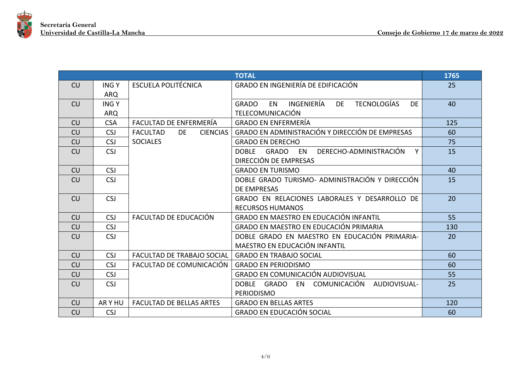

| <b>TOTAL</b> |             |                                          |                                                                                         | 1765 |
|--------------|-------------|------------------------------------------|-----------------------------------------------------------------------------------------|------|
| CU           | <b>INGY</b> | <b>ESCUELA POLITÉCNICA</b>               | GRADO EN INGENIERÍA DE EDIFICACIÓN                                                      | 25   |
|              | <b>ARQ</b>  |                                          |                                                                                         |      |
| CU           | <b>INGY</b> |                                          | INGENIERÍA<br><b>TECNOLOGÍAS</b><br><b>DE</b><br><b>EN</b><br><b>GRADO</b><br><b>DE</b> | 40   |
|              | <b>ARQ</b>  |                                          | <b>TELECOMUNICACIÓN</b>                                                                 |      |
| <b>CU</b>    | <b>CSA</b>  | FACULTAD DE ENFERMERÍA                   | <b>GRADO EN ENFERMERÍA</b>                                                              | 125  |
| CU           | <b>CSJ</b>  | <b>FACULTAD</b><br>DE<br><b>CIENCIAS</b> | GRADO EN ADMINISTRACIÓN Y DIRECCIÓN DE EMPRESAS                                         | 60   |
| CU           | <b>CSJ</b>  | <b>SOCIALES</b>                          | <b>GRADO EN DERECHO</b>                                                                 | 75   |
| CU           | <b>CSJ</b>  |                                          | DOBLE GRADO EN DERECHO-ADMINISTRACIÓN<br>Y                                              | 15   |
|              |             |                                          | DIRECCIÓN DE EMPRESAS                                                                   |      |
| CU           | <b>CSJ</b>  |                                          | <b>GRADO EN TURISMO</b>                                                                 | 40   |
| CU           | <b>CSJ</b>  |                                          | DOBLE GRADO TURISMO- ADMINISTRACIÓN Y DIRECCIÓN                                         | 15   |
|              |             |                                          | <b>DE EMPRESAS</b>                                                                      |      |
| CU           | <b>CSJ</b>  |                                          | GRADO EN RELACIONES LABORALES Y DESARROLLO DE                                           | 20   |
|              |             |                                          | <b>RECURSOS HUMANOS</b>                                                                 |      |
| CU           | <b>CSJ</b>  | FACULTAD DE EDUCACIÓN                    | <b>GRADO EN MAESTRO EN EDUCACIÓN INFANTIL</b>                                           | 55   |
| CU           | <b>CSJ</b>  |                                          | GRADO EN MAESTRO EN EDUCACIÓN PRIMARIA                                                  | 130  |
| CU           | <b>CSJ</b>  |                                          | DOBLE GRADO EN MAESTRO EN EDUCACIÓN PRIMARIA-                                           | 20   |
|              |             |                                          | MAESTRO EN EDUCACIÓN INFANTIL                                                           |      |
| CU           | <b>CSJ</b>  | <b>FACULTAD DE TRABAJO SOCIAL</b>        | <b>GRADO EN TRABAJO SOCIAL</b>                                                          | 60   |
| CU           | <b>CSJ</b>  | FACULTAD DE COMUNICACIÓN                 | <b>GRADO EN PERIODISMO</b>                                                              | 60   |
| CU           | <b>CSJ</b>  |                                          | GRADO EN COMUNICACIÓN AUDIOVISUAL                                                       | 55   |
| CU           | <b>CSJ</b>  |                                          | DOBLE GRADO EN COMUNICACIÓN AUDIOVISUAL-                                                | 25   |
|              |             |                                          | <b>PERIODISMO</b>                                                                       |      |
| CU           | ARY HU      | <b>FACULTAD DE BELLAS ARTES</b>          | <b>GRADO EN BELLAS ARTES</b>                                                            | 120  |
| CU           | <b>CSJ</b>  |                                          | <b>GRADO EN EDUCACIÓN SOCIAL</b>                                                        | 60   |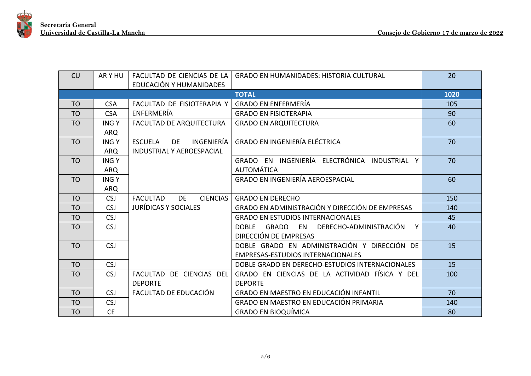

| <b>CU</b>      | AR Y HU     |                                           | FACULTAD DE CIENCIAS DE LA GRADO EN HUMANIDADES: HISTORIA CULTURAL | 20   |
|----------------|-------------|-------------------------------------------|--------------------------------------------------------------------|------|
|                |             | EDUCACIÓN Y HUMANIDADES                   |                                                                    |      |
|                |             |                                           | <b>TOTAL</b>                                                       | 1020 |
| <b>TO</b>      | <b>CSA</b>  | FACULTAD DE FISIOTERAPIA Y                | <b>GRADO EN ENFERMERÍA</b>                                         | 105  |
| <b>TO</b>      | <b>CSA</b>  | ENFERMERÍA                                | <b>GRADO EN FISIOTERAPIA</b>                                       | 90   |
| <b>TO</b>      | <b>INGY</b> | <b>FACULTAD DE ARQUITECTURA</b>           | <b>GRADO EN ARQUITECTURA</b>                                       | 60   |
|                | <b>ARQ</b>  |                                           |                                                                    |      |
| <b>TO</b>      | <b>INGY</b> | INGENIERÍA<br><b>ESCUELA</b><br><b>DE</b> | <b>GRADO EN INGENIERÍA ELÉCTRICA</b>                               | 70   |
|                | <b>ARQ</b>  | <b>INDUSTRIAL Y AEROESPACIAL</b>          |                                                                    |      |
| <b>TO</b>      | <b>INGY</b> |                                           | GRADO EN INGENIERÍA ELECTRÓNICA INDUSTRIAL Y                       | 70   |
|                | <b>ARQ</b>  |                                           | <b>AUTOMÁTICA</b>                                                  |      |
| T <sub>O</sub> | <b>INGY</b> |                                           | <b>GRADO EN INGENIERÍA AEROESPACIAL</b>                            | 60   |
|                | <b>ARQ</b>  |                                           |                                                                    |      |
| <b>TO</b>      | <b>CSJ</b>  | <b>FACULTAD</b><br><b>CIENCIAS</b><br>DE  | <b>GRADO EN DERECHO</b>                                            | 150  |
| T <sub>O</sub> | <b>CSJ</b>  | <b>JURÍDICAS Y SOCIALES</b>               | GRADO EN ADMINISTRACIÓN Y DIRECCIÓN DE EMPRESAS                    | 140  |
| <b>TO</b>      | <b>CSJ</b>  |                                           | <b>GRADO EN ESTUDIOS INTERNACIONALES</b>                           | 45   |
| <b>TO</b>      | <b>CSJ</b>  |                                           | GRADO EN DERECHO-ADMINISTRACIÓN<br><b>DOBLE</b><br>Y               | 40   |
|                |             |                                           | DIRECCIÓN DE EMPRESAS                                              |      |
| T <sub>O</sub> | <b>CSJ</b>  |                                           | DOBLE GRADO EN ADMINISTRACIÓN Y DIRECCIÓN DE                       | 15   |
|                |             |                                           | <b>EMPRESAS-ESTUDIOS INTERNACIONALES</b>                           |      |
| <b>TO</b>      | <b>CSJ</b>  |                                           | DOBLE GRADO EN DERECHO-ESTUDIOS INTERNACIONALES                    | 15   |
| <b>TO</b>      | <b>CSJ</b>  | FACULTAD DE CIENCIAS DEL                  | GRADO EN CIENCIAS DE LA ACTIVIDAD FÍSICA Y DEL                     | 100  |
|                |             | <b>DEPORTE</b>                            | <b>DEPORTE</b>                                                     |      |
| <b>TO</b>      | <b>CSJ</b>  | FACULTAD DE EDUCACIÓN                     | <b>GRADO EN MAESTRO EN EDUCACIÓN INFANTIL</b>                      | 70   |
| T <sub>O</sub> | <b>CSJ</b>  |                                           | GRADO EN MAESTRO EN EDUCACIÓN PRIMARIA                             | 140  |
| <b>TO</b>      | <b>CE</b>   |                                           | <b>GRADO EN BIOQUÍMICA</b>                                         | 80   |